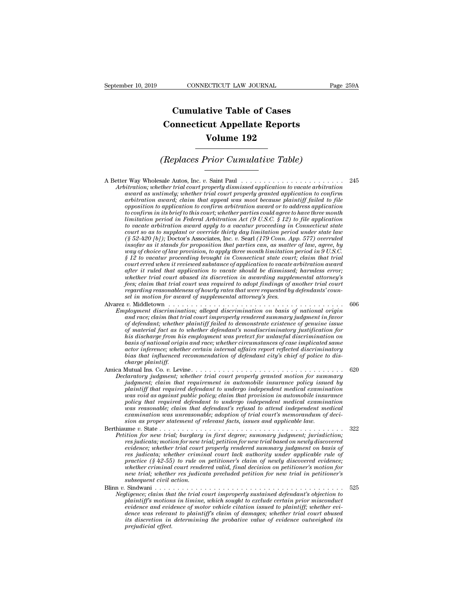## **CONNECTICUT LAW JOURNAL**<br> **Cumulative Table of Cases<br>
pnnecticut Appellate Reports CONNECTICUT LAW JOURNAL** Pag<br> **Cumulative Table of Cases**<br> **Connecticut Appellate Reports**<br> **Volume 192 ECTICUT LAW JOURNAL**<br> **Volume 192**<br> **Volume 192**<br> **Volume 192**<br> **Prior Currylative Table) Cumulative Table of Cases<br>
Connecticut Appellate Reports<br>
Volume 192<br>
(Replaces Prior Cumulative Table)**<br>
Sale Autos Inc. a. Saint Paul

Volume 192<br>
(Replaces Prior Cumulative Table)<br>
A Better Way Wholesale Autos, Inc. *v.* Saint Paul<br>
Arbitration, whether trial court properly dismissed application to vacate arbitration<br>
award as untimely: whether trial cou *Arbitration; Wholesale Autos, Inc. v. Saint Paul*<br>*Arbitration; whether trial court properly dismissed application to vacate arbitration*<br>*avand as untimely; whether trial court properly granted application to confirm*<br>*a a*<br> **a** *a a away* Wholesale Autos, Inc. *v.* Saint Paul *and as untimation; whether trial court properly dismissed application to vacate arbitration award as untimely; whether trial court properly granted applicatio are in the places Prior Cumulative Table)*<br> **arbitration**; whether trial court properly dismissed application to vacate arbitration<br>
award as untimely; whether trial court properly granted application to confirm<br>
arbitra **opposition to application to a standard confirm arbitration**<br>**oppositivation**, whether trial court properly dismissed application to vacate arbitration<br>award as untimely; whether trial court properly granted application t *to compute to confirm in its brief to confirm in its britation; whether trial court properly dismissed application to vacate arbitration* award as untimely; whether trial court properly granted application to confirm arbi *limitation, whereasta Autos, Inc. v. Saint Paul*<br> *limitation; whether trial court properly dismissed application to vacate arbitration award as untimely; whether trial court properly granted application to confirm arbit to vacate arbitration, the it is vacature in the trial court properly dismissed application to vacate arbitration award as untimely, whether trial court properly granted application to confirm arbitration award, claim th court as untimely; whether trial court properly granted application to confirm* arbitration award; claim that appeal was moot because plaintiff failed to file opposition to confirm in its brief to this court; whether part *(a)* award as untimely; whether trial court property granted application to confirm<br>arbitration award; claim that appeal was moot because plaintiff failed to file<br>to confirm in its brief to this court; whether parties cou arbitration award; claim that appeal was moot because plaintiff jailed to jue<br>opposition to application to confirm arbitration award or to address application<br>to confirm in its brief to this court; whether parties could ag *opposition to application to confirm arbitration award or to address application* to confirm in its brief to this court; whether parties could agree to have three month limitation period in Federal Arbitration at (9 U.S.C *io confirm in its brief to this court; whether parties could agree to have three month*<br> *limitation period in Federal Arbitration Act (9 U.S.C. § 12) to file application<br>
to vacate arbitration award apply to a vacatur pr court someta arbitration Act (9 U.S.C. § 12) to jue application*<br>to vacate arbitration award apply to a vacatur proceeding in Connecticut state<br>court so as to supplant or override thirty day limitation period under state *to vacate arbitration award apply to a vacatur proceeding in Connecticut state law*<br> *court so as to supplant or override thirty day limitation period under state law*<br> *(§ 52-420 [b]); Doctor's Associates, hac v. Searl ( whether trial court so as to supplemt or override thirty day limitation period under state law* (§ 52-420 [b]); Doctor's Associates, Inc. v. Searl (179 Conn. App. 577) overruled in gords for proposition that parties can, *fg* 52–420 [0]); Doctor's Associates, inc. v. Searl (179 Conn. App. 577) overruted<br>insofar as it stands for proposition that parties can, as matter of law, agree, by<br>way of choice of law provision, to apply three month li *regard of choice of law provision, to apply three month limitation period in 9 U.S.C.*<br> *f 12 to vacatur proceeding brought in Connecticut state court; claim that trial*<br> *court erred when it reviewed substance of applica*  $\S$  12 to vacatur proceeding brought in Connecticut state court; claim that trial court erred when it reviewed substance of application to vacate arbitration award after it ruled that application to vacate should be dismi *x* are *v* of the second proceed abstacte of application to vacate abstraction avand<br>
after it ruled that application to vacate should be dismissed; harmless error;<br>
whether trial court dowsed its discretion in awarding s *Employment discrimination; alleged discrimination to vacuue around the dismissed; harmless error; whether trial court abused its discretion in awarding supplemental attorney's fees; claim that trial court was required to and race; claim tartinghation to vacal summary existing supplemental attorney's*<br>the sex; claim that trial court was required to adopt findings of another trial court<br>regarding reasonableness of hourly rates that were req

- *of ess*; daim that rival court was reaction in awarraing supplemental attorneys fees; daim that trial court was required to dedpt findings of another trial court regarding reasonableness of hourly rates that were request *of material fact as to harmowing material attorneys of anomer rrat court set in motion for award of supplemental attorney jees.*<br>*of in motion for award of supplemental attorney's fees.*<br>*v.* Middletown . . . . . . . . . *his discharge from his employment was pretext for unlawful discrimination on basis of national original distrimation of supplemental distrimation on basis of national origin* polyment discrimination; alleged discrimination on basis of national origin and race; claim that trial court improperly ren *actor inference; whether certain internal affairs report reflected discriminatory* ployment discrimination; alleged discrimination on basis of national origin<br>and race; claim that trial court improperly rendered summary judgment in favor<br>of defendant; whether plaintiff failed to demonstrate existence of *charge plants and race; claim that tr*<br>*cof material fact as to<br>his discharge from his<br>his discharge from his<br>basis of national originator<br>charge plaintiff.<br>Mutual Ins. Co. v. Levi<br>Mutual Ins. Co. v. Levi Magnetian, whether defendant's nondistrimination guiding for material fact as to whether defendant's nondiscrimination for this discharge from his employment was pretext for unlawful discrimination on basis of national or Declaratory independent was probably and trial court in the sister more basis of national origin and race; whether circumstances of case implicated same actor inference; whether certain internal affairs report reflected d justifully in this employment was pretext for unitary ausernmination on*<br>basis of national origin and race; whether circumstances of case implicated same<br>actor inference; whether certain internal affairs report reflected
- *plaintiff that required defendant internal affairs report reflected discriminatory*<br>actor inference; whether certain internal affairs report reflected discriminatory<br>bias that influenced recommendation of defendant city's *was it and influenced recommendation of defendant city's chief of police to dis-<br>bias that influenced recommendation of defendant city's chief of police to dis-<br>charge plaintiff.*<br>Mutual Ins. Co. v. Levine................ *policy politional recommendation of defendant cuty's chief of poince to dis-<br>
Mutual Ins. Co. v. Levine.*<br> *policy diament; whether trial court properly granted motion for summary<br>
judgment; claim that requirement in auto was reasonable; claim that requirement in automobile insurance policy independent in duratory judgment; claim that requirement in automobile insurance policy issued by plaintiff that required defendant to undergo independ examination was unreasonable; adoption of trial court's memorandum of decijudgment;* claim that requirement in automobile insurance policy issued by<br>plaintiff that required defendant to undergo independent medical examination<br>was void as against public policy; claim that provision in automobile bethian the difficult in the contract of relationships and the point of the point of the point of the point of the point of the point of the point of the point of the point of the point of the point of the control of the c *Pathuty that required degradant to undergo independent medical examination*<br> *Pathicy policy is a gainst public policy; claim that provision in automobile insurance*<br> *policy that required degredant to undergo independent result as ugurnst public policy, carm mat provision in automobility that required defendant to undergo independent medical examination*<br> *res reasonable; claim that defendant's refusal to attend independent medical*<br> *exa*

*registral required as encoded to undergo independent medical examination*<br>*examination was unreasonable; adoption of trial court's memorandum of decision as proper statement of relevant facts, issues and applicable law.*<br> *ressimation was unerassmable; darm that defendants reflaid to difermination was therexamination was urreassmable; adoption of trial court's memorandum of decision as proper statement of relevant facts, issues and applicab practice (§ 42-55) to rule on petitioner's claim of newly discovered evidence; whether criminal court rendered valid, final decision on petition for new triminal court rendered validition for an expected valid petition for new trial based on newly discovered evidence; whether trial court properly re* incometrical; whether results in the state in the state in the res judication; the res judicata; motion for new trial; petition for new trial based on newly discovered revidence; whether trial court properly rendered summa *station for new traal; burglary*<br>*res judicata; motion for new trail court<br>evidence; whether trial court<br>res judicata; whether crimin<br>practice (§ 42-55) to rule on<br>whether criminal court render<br>Sindwani .................. vespacion, motion real riad, pertion for the unit of the condition*  $i$  and  $i$  and  $j$  and  $j$  and  $j$  and  $j$  and  $j$  and  $j$  and  $j$  and  $j$  and  $j$  and  $j$  and  $j$  and  $j$  and  $j$  and  $j$  and  $j$  and  $j$  and  $j$  and *Negligence; claim that the trial court improperly related summary juagment on dasts of*<br> *Negligence; claim that the criminal court lack authority under applicable rule of*<br> *neatice* (*§ 42-55)* to rule on petitioner's c *placiative whether criminal court lack dumority under appicable rule of*<br>practice (*§ 42-55*) to rule on petitioner's claim of newly discovered evidence;<br>whether criminal court rendered valid, final decision on petitioner

*evidence (s 42-35) to rule on petitioners claim of newly also<br>overlete criminal court rendered valid, final decision on petitioner's motion for<br>new trial, whether res judicata precluded petition for new trial in petitione dence which there resulted petition of petitioner's motion for subsequent trial; whether res judicata precluded petition for new trial in petitioner's subsequent civil action.*<br> *diamagesimilarity* abused abused in the tr *is discretion in the trial precision peculaed pectrion for new trial in pectrioners*<br>
Sibsequent civil action.<br>
Sibsequent in that the trial court improperly sustained defendant's objection to<br>
plaintiff's motions in limi *president civit is indivariated*<br>*primarial in the plaintiff's motion*<br>*plaintiff's motion*<br>*evidence and evidence was relevarits discretion in*<br>*prejudicial effect.*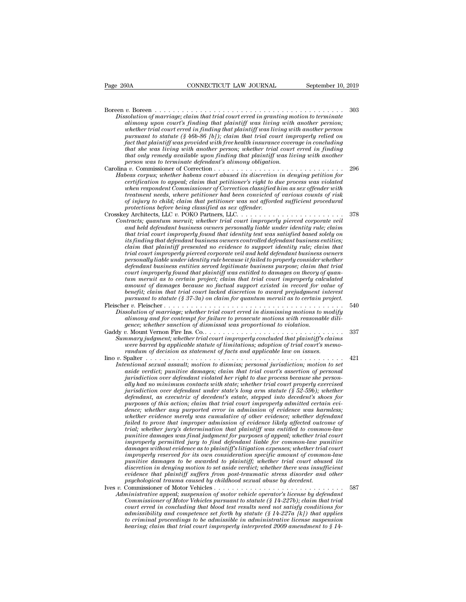Page 260A CONNECTICUT LAW JOURNAL September 10, 2019 Boreen *v.* Boreen . . . . . . . . . . . . . . . . . . . . . . . . . . . . . . . . . . . . . . . . . . <sup>303</sup> *Physical CONNECTICUT LAW JOURNAL* September 10, 2019<br> *Dissolution of marriage; claim that trial court erred in granting motion to terminate*<br> *Dissolution of marriage; claim that trial court erred in granting motion to t* **and alimons convention convention control in that planning with another persion;**<br>*alimony upon court's finding that trial court erred in granting motion to terminate*<br>*alimony upon court's finding that plaintiff was livi whether trial convention court erred in finding that plaintiff was living with another persons solution of marriage; claim that trial court erred in granting motion to terminate alimony upon court's finding that plaintiff p* Boreen  $p_1, \ldots, p_n$  and that trial court erred in granting motion to terminate alimony upon court's finding that plaintiff was living with another persion; whether trial court erred in finding that plaintiff was livin *fact that in a fact that that trial court erred in granting motion to terminate* alimony upon court's finding that plaintiff was living with another persion; whether trial court erred in finding that plaintiff was living *that she was lighter that she was lighter trial court erred in granting motion to terminate* alimony upon court's finding that plaintiff was living with another persion; whether trial court erred in finding that plaintiff *that only remedy available upon finding that plaintiff was living motion to terminate alimong upon court's finding that plaintiff was living with another persion; whether trial court erred in finding that plaintiff was li person to the marriage; claim that trial court erred in granting moralimony upon court's finding that plaintiff was living with whether trial court erred in finding that plaintiff was living with pursuant to statute (§ 46* Example *vient rial court s jinding that plaintiff* was *twong* with another person,<br>whether trial court erred in finding that plaintiff was living with another person<br>pursuant to statute (§ 46b-86 [b]); claim that trial c *Matter trade court errea in jinding that plannty was irring with another person*<br>*Hact that planitiff was provided with free health insurance coverage in concluding<br>that she was living with another person; whether trial c* parsuant to statute (§ 400-80 [0]); claim that truat court improperty retied on<br>fact that plaintiff was provided with free health insurance coverage in concluding<br>that she was living with another person; whether trial cour *yact that planntyf was provuded with free health insurance coverage in concluaing<br>that she was living with another person, whether trial court erred in finding<br>that only remedy available upon finding that plaintiff was li that she was twing with another person; whether trial court errea in finaling*<br>*that only remedy available upon finding that plaintiff was living with another*<br>*person was to terminate defendants alimony obligation*...... *of injury to child; claim that petitioner was not afforded sufficient procedural protections before being classified as sex offender.* Crosskey Architects, LLC *v.* POKO Partners, LLC. . . . . . . . . . . . . . . . . . . . . . . . <sup>378</sup> *Contracts; quantum meruit; whether ind court improperly found hat trial court improperly found hat petitioner and been convicted of various counts of risk of injury to child; claim that petitioner was not afforded suffici certyrcation to appeal; claim that peritioner's right to alle process was violated when respondent Commissioner of Correction classified him as sex offender with treatment needs, where petitioner had been convicted of var that treadment Commissioner of Correction classyfied fullm as sex offender with treatment needs, where petitioner had been convicted of various counts of risk of injury to child; claim that petitioner was not afforded suf its finding that defendant husiness, where pertuoner nad oven convicted af various counts af risk protections before being classified as sex offender.*<br> *protections before being classified as sex offender.*<br> *is Architec compary to chua; caam that petutoner was not afforded sufficient procedural*<br>protections before being classified as sex offender.<br> $\alpha$  Architects, LLC.  $\alpha$ . POKO Partners, LLC.  $\alpha$ .  $\alpha$ .  $\alpha$ .  $\alpha$ .  $\alpha$  and held defen *trial court improperly pierced corporate veil and held defendant business owners personally and the relation in the trial consideration in the trial consideration in the trial constant helial counting that trial counting the the trial counting that the trial counting that defendant business owners per definitions, the merrion merrion in the trial court improperty pierced corporate vell*<br>and held defendant business owners personally liable under identity rule; claim<br>that trial court improperty found that identity test w and held aegendant business owners personally liable under identity rule; claim<br>that trial court improperly found that identity test was satisfied based solely on<br>its finding that defendant business owners controlled defen *that trial court improperty jound that identity test was satisfied based solely on*<br>its finding that defendant business owners controlled defendant business entities;<br>claim that plaintiff presented no evidence to support *als finding that defendant business owners controlled defendant business entities;*<br> *claim that plaintiff presented no evidence to support identity rule;* claim that<br> *prical court improperly pierced corporate veil and h benefit that plannty presented no evidence to support identity rule; claim that* trial court improperly pierced corporate veil and held defendant business owners personally liable under identity rule because it failed to *pural court improperty pierced corporate veil and held defendant business owners*<br>*personally liable under identity rule because it failed to properly consider whether*<br>*defendant business entities served legitimate busin* personally table under taching rate because it juited to property constaer uneter<br>defendant business entities served legitimate business purpose; claim that trial<br>court improperty found that plaintiff was entitled to damag *defendant ousness entities served tegitimate business purpose; claim that trial court improperly found that plaintiff was entitled to damages on theory of quantitation amount of damages because no factual support existed alimony and for certain project; claim that rial court improperty calculated amount* as to certain project; claim that trial court lacked discretion to award preparely calculated benefit; claim that trial court lacked d *gence; whereasty of dismissal was to certain project; claim that trial court improperty calcoment of dismissing import existed in record for vertiling benefit; claim that trial court lacked discretion to award prejudgment* Gaddy *v.* Mount Vernon Fire Ins. Co. . . . . . . . . . . . . . . . . . . . . . . . . . . . . . . . <sup>337</sup> *Summary judgment; whether trial court improperly concluded that plaintiff's claims were barred by applicable statute of limitations; adoption of trial court's memo-*

- *randum of marriage; whether trial court erred in dismissing motions to modition of marriage; whether trial court erred in dismissing motions to modition and applicable statement for failure to prosecute motions with reaso* Internal of *v*. The *v*. There is a contempt for failure to prosecute motions with reasonable dili-<br>gence; whether sanction of dismissal was proportional to violation.<br>Gaddy v. Mount Vernon Fire Ins. Co.. . . . . . . . . *Intentional sexual assault; motion of dismissal was proportional to violation.*<br> *Ignce; whether sanction of dismissal was proportional to violation.*<br> *Intermary judgment; whether trial court improperly concluded that pl*
- 
- *aside verdict; punitive damages; claim that trial court's assertion of personal jurisdiment; whether trial court improperly concluded that plaintiff's claims numary judgment; whether trial court improperly concluded that plaintiff's claims vare barred by applicable statute of limitations; adoption ally had no minimum contacts with state of limitations; adoption of trial court's memo-were barred by applicable statute of limitations; adoption of trial court's memo-<br>randum of decision as statement of facts and applica jurisdiction over defendant under state's long arm statute (§ 52-59b); whether defendant, as executrix of decedent's estate, stepped into decedent's shoes for putional sexual assault; motion to dismiss; personal jurisdiction; motion to set aside verdict; punitive damages; claim that trial court's assertion of personal jurisdiction over defendant violated her right to due proces entional sexual assault; motion to dismiss; personal jurisdiction; motion to set* aside verdict; punitive damages; claim that trial court's assertion of personal jurisdiction over defendant violated her right to due proce *whether evidence merely was cumulation for evidence in the process because she personal* invisdiction over defendant violated her right to due process because she personally had no minimum contacts with state; whether tri *faily had no minimum contacts with state; whether trial court properly exercised* pix-failed no minimum contacts with state's long arm statue (§ 52-50b); whether defendant, as executrix of decedent's estate, stepped into ally had no minimum contacts with state; whether trial court property exercised<br>furisdiction over defendant under state's long arm statute (§ 52-59b); whether<br>defendant, as executrix of decedent's estate, stepped into dece *pursanction over defendant under state's long arm statute (§ 52-59b); whether*<br>defendant, as executrix of decedent's estate, stepped into decedent's shoes for<br>purposes of this action; claim that trial court improperly adm *defendant, as executrix of decedent's estate, stepped into decedent's shoes for*<br>purposes of this action; claim that trial court improperly admitted certain evi-<br>dence; whether any purported error in admission of evidence purposes of this action; claim that trial court improperty aamitted certain evidence; whether any purported error in admission of evidence was harmless; whether evidence merely was cumulative of other evidence likely affec *dence; whether any purported error in admission of evidence was harmless;*<br>whether evidence merely was cumulative of other evidence; whether defendant<br>failed to prove that improper admission of evidence likely affected ou *punether evidence merely was cumulative of other evidence; whether defendant* failed to prove that improper admission of evidence likely affected outcome of trial; whether jury's determination that plaintiff was entitled *diated to prove that improper admission of evidence theely affected outcome of* trial; whether jury's determination that plaintiff was entitled to common-law punitive damages was final judgment for purposes of appeal; whe *trual; whether jury's determination that plaintiff was entitled to common-law*<br>
punitive damages was final judgment for purposes of appeal; whether trial court<br>
improperly permitted jury to find defendant liable for commo puntive damages was final judgment for purposes of appeal; whether trial<br>improperly permitted jury to find defendant liable for common-law pur<br>damages without evidence as to plaintiffs litigation expenses; whether trial<br>im Improperty permitted jary to find defendant tidate for common-date particle carriers that damages without evidence as to plaintiffs litigation expenses; whether trial court of common-law punitive damages to be awarded to p damages without evidence as to planntyf sutigation expenses; whether trial court<br>improperly reserved for its own consideration specific amount of common-law<br>punitive damages to be awarded to plaintiff; whether trial court *Commissioner of Motor Vehicles pursuantion spectric amount of common-daw*<br> *Consisting a more discretion in denying weight weakler trial court absed its*<br> *Consistenting and puring motion to set aside verdict; whether the*
- puntive damages to be awarded to planntyf; whether trial court doused its<br>discretion in denying motion to set aside verdict; whether there was insufficient<br>evidence that planniff suffers from post-traumatic stress disorder *atscretion in denying motion to set aside vertact; whether there was insufficent*<br>evidence that plaintiff suffers from post-traumatic stress disorder and other<br>psychological trauma caused by chidhood sexual dowse by deced *to criminal proceedings to be admissible in administrative license suspension hearing; claim that trial court improperly interpreted 2009 amendment to § 14-*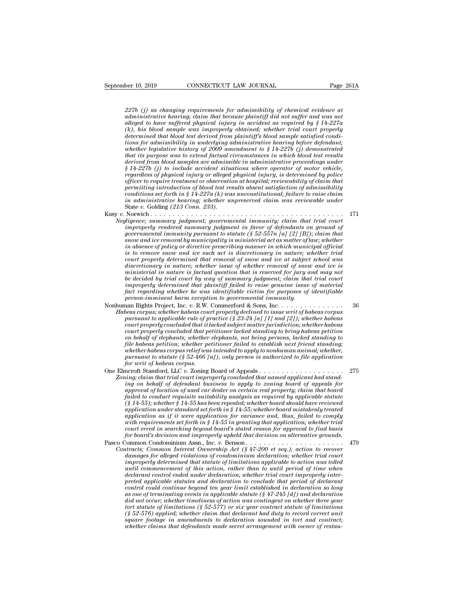*227b (j) as changing requirements for admissibility of chemical evidence at*<br>*227b (j) as changing requirements for admissibility of chemical evidence at*<br>*administrative hearing; claim that because plaintiff did not suff* **ber 10, 2019 connect CONNECTICUT LAW JOURNAL** Page 261A<br> **administrative hearing; claim that because plaintiff did not suffer and was not**<br> **administrative hearing; claim that because plaintiff did not suffer and was no ber 10, 2019 cONNECTICUT LAW JOURNAL** Page 261A<br> **alleged to have suffered physical injury in accident as required by § 14-227a**<br> **administrative hearing; claim that because plaintiff did not suffer and was not**<br>
dleged **(k), https://educion.mag/ENNECTICUT LAW JOURNAL Page 261A**<br> **(a)** as changing requirements for admissibility of chemical evidence at<br>
administrative hearing; claim that because plaintiff did not suffer and was not<br>
allege *determined that blood test deriverments for admissibility of chemical evidence at administrative hearing; claim that because plaintiff did not suffer and was not alleged to have suffered physical injury in accident as re theretical in a schanging requirements for admissibility of chemical evidence at* administrative hearing; claim that because plaintiff did not suffer and was not alleged to have suffered physical injury in accident as req *whether (j)* as changing requirements for admissibility of chemical evidence at administrative hearing; claim that because plaintiff did not suffer and was not alleged to have suffered physical injury in accident as requ *2276 (1)* as changing requirements for admissibility of chemical evidence at administrative hearing; claim that because plaintiff did not suffer and was not alleged to have suffered physical injury in accident as required *demnastrative hearing; claim that because plaintiff did not suffer and was not* alleged to have suffered physical injury in accident as required by § 14-227a (k), his blood sample was improperly obtained; whether trial co (k), his blood sample was improperly obtained; whether trial court properly determined that blood test derived from plaintiff's blood sample satisfied conditions for admissibility in underlying administrative hearing befo (*k*), has blood sample was umproperty obtained; whether trial court property<br>determined that blood test derived from plaintiff's blood sample satisfied condi-<br>tions for admissibility in underlying administrative hearing *determined that blood test derived from plaintiff's blood sample satisfied conditions for admissibility in underlying administrative hearing before defendant; whether legislative history of 2009 amendment to § 14-227b (j) phons for admissibility in underlying administrative hearing before defendant;*<br>
whether legislative history of 2009 amendment to § 14-227b (j) demonstrated<br>
that its purpose was to extend factual circumstances in which *conditions in the methody of 2009 amendment to § 14-2276 (j) demonstrated* that its purpose was to extend factual circumstances in which blood test results derived from blood samples are admissible in administrative proc *ihat its purpose was to extend jactual circumstances in which blood test results* derived from blood samples are admissible in administrative proceedings under  $\S$  14-2276 (j) to include accident situations where operato derived from blood samples are admissived  $\S$  14-227b (j) to include accident situal regardless of physical injury or alleged<br>officer to require treatment or observation<br>officer to require treatment or observation<br>permitti *v*. 1-2210 *S v*. *is a cuttom calleged physical injury or alleged physical injury, is determined by police*<br>regraless of physical injury or alleged physical injury, is determined by police<br>officer to require treatment *Negligence; summary in dieged physical injury, is determined by power*<br>officer to require treatment or observation at hospital; reviewability of claim that<br>permitting introduction of blood test results absent satisfaction *infirm in introduction of blood test results absent satisfaction of demonstranting introduction of blood test results absent satisfaction of admissibility conditions set forth in § 14-227a (k) was unconstitutional; failur* 

- *governmental immunity pursuant to statute (§ 52-557n [a] immunity air conditions set forth in § 14-227a (k) was unconstitutional; failure to raise claim in administrative hearing; whether unpreserved claim was reviewable sonatuons set jorm in § 14-22+a* (*K*) was unconstitutional; jature to raise claim<br>in administrative hearing; whether unpreserved claim was reviewable under<br>State v. Golding (213 Com. 233).<br>Norwich . . . . . . . . . . . . *in absence of policy or directive prescribing manner in which municipal official is to remove snow and ice such act is discretionary in nature; whether trial court in the court properly judgment; governmental immunity; claim that trial court in<br>properly rendered summary judgment in favor of defendants on ground of<br>governmental immunity pursuant to statute (§ 52-557n [a] [2] [B discretionary judgment; governmental immunity; claim that trial court*<br>improperly rendered summary judgment in favor of defendants on ground of<br>governmental immunity pursuant to statute (§ 52-557n [a][2] [B]); claim that<br> *myroperty rendered summary judgment in favor of defendants on ground of* governmental immunity pursuant to statute (§ 52-557n [a] [2] [B]); claim that snow and ice removal by municipality is ministerial act as matter of l *governmental mmuntty pursuant to statute (§ 52-557n [a] [2] [B]); claim that* snow and ice removal by municipality is ministerial act as matter of law; whether in absence of policy or directive prescribing manner in which *show and tee removal by municipality is ministerial act as matter of law; whether* in absence of policy or directive prescribing manner in which municipal official is to remove snow and ice such act is discretionary in na *fact regarding where the such act is discretionary in nature; whether trial*<br>*fact is to remove snow and ice such act is discretionary in nature; whether trial*<br>*discretionary determined that removal of snow and ice at su person-imming that ready and the such act is discretionary in nature; we court properly determined that removal of snow and ice at subject discretionary in nature; whether issue of whether removal of snow ministerial in n* Figure the matter that that the mood of show that are at staglect school was<br>discretionary in nature; whether issue of whether removal of snow and ice is<br>ministerial in nature is factual question that is reserved for jury *Habeas corpus; whether issue of whether removal of show and the is ministerial in nature is factual question that is reserved for jury and may not be decided by trial court by way of summary judgment; claim that trial cou pursuant to nature is jactual question that is reserved for jury and may not* be decided by trial court by way of summary judgment; claim that trial court improperly determined that plaintiff failed to raise genuine issue
- *court properly determined that plating in Subjecture in that true court in fore properly determined that plaintiff fialel to raise genuine issue of material fact regarding whether he was identifiable victim for purposes o concernated that paintiff index to raise genuine issue of material parts person-imminent harm exception to governmental immunity.*<br> *cortergarding whether he was identifiable victim for purposes of identifiable person-imm on behalf of elephants; whether elephants, not being person-imminent harm exception to governmental immunity.*<br>
heas corpus; whether habeas court property declined to issue writ of habeas corpus<br>
pease corpus; whether hab *file habeas petition; whether petitioner failed to establish next friend standing; whether habeas corpus relief was intended to apply to nonhuman animal; whether, peas corpus; whether habeas court property dectined to issue writ of habeas corpus*<br>pursuant to applicable rule of practice (§ 23-24 [a] [1] and [2]); whether habeas<br>court properly concluded that it lacked subject matter pursuant to applicable rule of practice (§ 23-24 [a] [1] and [2]); whether habeas<br>court properly concluded that it lacked subject matter jurisdiction; whether habeas<br>court properly concluded that petitioner lacked standin From tropperly concluded that published standing for matter jurisdiction, whether nations court properly concluded that petitioner lacked standing to bring habeas petition on behalf of elephants; whether elephants, not bei *Zoning; concluded that petrioner increased standing to oring nuoeds petrion*<br> *Zoning the habeas petrions; whether elephants, not being persons, lacked standing to<br>
file habeas corpus relief was intended to apply to nonhu*

*in behalf of elephants; whether elephants, not being persons, tacked standing to*<br> *file habeas petition; whether petitioner failed to establish next friend standing;*<br> *whether habeas corpus relief was intended to apply plue nabeas petition; unether petitioner jailed to establish next friend standing;*<br>whether habeas corpus relief was intended to apply to nonhuman animal; whether,<br>pursuant to statute (§ 52-466 [a]), only person is author *failed to conduct is suitable failed to conducted to the conduction pursuant to statute (§ 52-466 [a]), only person is authorized to file application for writ of habeas corpus.*<br>
for writ of habeas corpus.<br>
In the standar *for writ of habeas corpus.*<br> *(§ 14-55)* mether *(§ 141)*, only person is authorized to jue application<br> *(of writ of habeas corpus)*<br> *(infig.) claim finat trial court improperly concluded that named applicant had sta application under standard set forth in § 14-55; whether board mistakenly treated* application as if it were application for appeals  $\ldots$  and a pplication for all  $\ell$  ing; claim that trial court improperly concluded that named applicant had stand-<br>approval of location of used car dealer on certain rea *wing; claim that trial court improperty concluded that named applicant had standing on behalf of defendant business to apply to zoning board of papeals for approval of location of used car dealer on certain real property; court approval of location of used car dealer on certain real property; claim that board* failed to conduct requisite suitability analysis as required by applicable statute  $(\S 14-55)$ ; whether  $\S 14-55$  has been repeal *for and the conduct requisite suitability analysis as required by applicable statute*  $f_8$   $14-55$ ; whether  $\gamma$  inclusion and interative deptication under standard set forth in  $\S$   $14-55$ ; whether board should have rev Finded to conduct requires such an expected by the summining the state of  $\S$  14-55), whether  $\S$  14-55 has been repealed; whether board should have reviewed application under standard set forth in  $\S$  14-55; whether boar  $(S, T4-35)$ ; whener  $S, T4-35$  has been repeated; whener board should have reviewed<br>application and er standard set forth in  $S$  14-55; whether board mistakenly treated<br>application as if it were application for variance and *dipplication under standard set jornt in y 14-55; whether board mistakenty treated* application as if it were application for variance and, thus, failed to comply with requirements set forth in § 14-55 in granting that ap

*improperty at that statute of limitations and that application; whether trial voit erred in searching beyond board's stated reason for approval to find basis for board's decision and improperly upheld that decision on alt until requirements set jornt in y 14-55 in granting that application, whether trial in searching beyond board's stated reason for approval to find basis for board's decision and improperly upheld that decision on alternat declarant control ended under declaration; whether trial court improperly interpreted applicable statutes and declaration to conclude that period of declarant control could continue beyond ten year limit established in declaration so long atracts;* Common Interest Ownership Act (§ 47-200 et seq.); action to recover damages for alleged violations of condominium declaration; whether trial court<br>improperly determined that statute of limitations applicable to *damages for alleged violations of condominium declaration; whether trad court* improperty determined that statute of limitations applicable to action was tolled until commencement of this action, rather that to until peri *tortal in a tortial determined that statute of limitations applicable to action was tolled* until commencement of this action, rather than to until period of time when declaration preted applicable statutes and declaratio *until commencement of this action, rather than to until period of time when*<br>declarant control ended under declaration; whether trial court improperly inter-<br>preted applicable statutes and declaration to conclude that pe declarant control ended under declaration; whether trial court improperty interpreted applicable statutes and declaration to conclude that period of declarant control could continue beyond ten year limit established in dec control could continue beyond ten year limit established in declaration so long as one of terminating events in applicable statute  $(\S 47-245 \lceil d\rceil)$  and declaration did not occur; whether timeliness of action was conting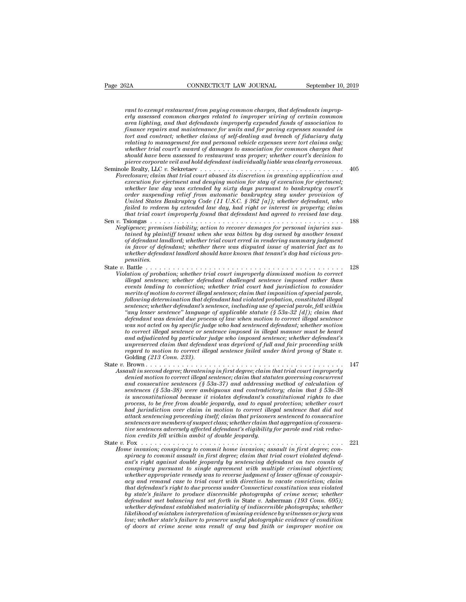Page 262A CONNECTICUT LAW JOURNAL September 10, 2019<br> *rant to exempt restaurant from paying common charges, that defendants improp-*<br> *erly assessed common charges related to improper wiring of certain common*<br> *area ligh* **EXA erated common common common common common common common common common common common common common common common common common common common common common common common common common common common common common commo and area lighting, and that defendants improperly assessed common charges** related to improper wiring of certain common area lighting, and that defendants improperly expended funds of association to fund and material comm *finance for an accomment form for the form in the september 10, 2019*<br> *fant to exempt restaurant from paying common charges, that defendants improperly assessed common charges related to improper wiring of certain common torth and to exempt restaurant from paying common charges, that defendants improperly assessed common charges related to improper wiring of certain common area lighting, and that defendants improperly expended funds of as finance repairs and maintenance for units and for paving expenses sounded in* tort and contract; whether claims of self-dealing and breach of fiduciary duty relating to management fee and personal vehicle expenses were to *where trial common charges related to improper wiring of certain common*<br>*area lighting, and that defendants improperty expended funds of association to*<br>*finance repairs and maintenance for units and for paving expenses should have sempt restaurant from paying common charges, that defendants improperly assessed common charges related to improper wiring of certain common to area lighting, and that defendants improper! expended funds of as pierce corporate common charges related to improper wiring of certain common* area lighting, and that defendants improperly expended funds of association to finance repairs and maintenance of units and for pairing expense France repairs and maintenance for units only expended jums of association to<br>finance for an maintenance for units and for paving expenses sounded in<br>tort and contract; whether claims of self-dealing and breach of fiduciar *Foreclosure; claim that trial contracts* when the set of fiduciary duty relating to management fee and personal vehicle expenses were tort claims only; whether trial court's award of damages to association for common char *for and contract; whether claims of set-deduing and breach of Juductary duty*<br> *exelating to management fee and personal vehicle expenses were tort claims only;*<br> *whether trial court's award of damages to association for whether trial court's award of damages to association for common charges that whether trial court's award of damages to association for common charges that should have been assessed to restaurant was proper; whether court order individents award of damages to association for common charges individual have been assessed to restaurant was proper; whether court's decision to pierce corporate veil and hold defendant individually liable was cle United States Bankruptcy Code (11 U.S.C. § 362 [a]); whether courts decision to*<br>
pierce corporate veil and hold defendant individually liable was clearly erroneous.<br>
Le Realty, LLC v. Sekretaev .......................... *failed to redeem by extended law day, had right or interest in property; claim that trial court in that trial court in that trial court in that trial courte; claim that trial court in that denying motion for stay of execution for ejectment; execution for ejectment; whether law day was extended by si* rorecosure; cannot and derivative and derivative in graniting application and<br>execution for ejectment and denying motion for stary of execution for ejectment;<br>whether law day was extended by sixty days pursuant to bankrupt *Negligence; premises liability; action to reacyling motion for sumpling preservation to bankruptcy court's order suspending relief from automatic bankruptcy stay under provision of United States Bankruptcy Code (11 U.S.C. the member and day was extended by stxty days pursuant to bankruptcy courts* of surfact sure the provision of Order Surfaction and the primatic bankruptcy stay under provision of failed to redeem by extended law day, had *order suspending reaef from automatic bankruptcy suy under provision of* United States Bankruptcy Code (11 U.S.C. § 362 [a]); whether defendant, who failed to redeem by extended law day, had right or interest in property; *inted states Bankruptcy Code (11 U.S.C. § 302 [d]); whether defendant, who*<br>failed to redeem by extended law day, had right or interest in property; claim<br>that trial court improperly found that defendant had greed for rev *whether defendant landlord should have known that tenant's dog had vicious propensities.* State *v.* Battle . . . . . . . . . . . . . . . . . . . . . . . . . . . . . . . . . . . . . . . . . . . . <sup>128</sup> *Violation of defendant landlord; whether trial court erred in rendering summary judgment*<br> *in favor of defendant; whether trial court erred in rendering summary judgment*<br> *in favor of defendant; whether there was disput illegal sentence; whether trial court erred in readering summary judgment*<br>in favor of defendant, whether there was disputed issue of material fact as to<br>inflament important landlord should have known that tenant's dog ha *eventually and the conviction; whether there was disputed issue of material fact as to in favor of defendant landlord should have known that tenant's dog had vicious propersities.*<br>
Battle  $\ldots \ldots \ldots \ldots \ldots \ldots \ldots \ldots \ldots \ldots \$ *merits of motion to correct illegal sentence; claim that imposition of special parole, following determination that defendant had violated probation, constituted illegal sentence; whether defendant's sentence, including use of special parole, fell within ''any lesser sentence'' language of applicable statute (§ 53a-32 [d]); claim that dation of probation; whether trial court improperty dismissed motion to correct<br>illegal sentence; whether defendant challenged sentence imposed rather than<br>events leading to conviction; whether trial court had jurisdictio where the mother defendant challenged sentence umposed rather than*<br> *events leading to conviction; whether trial court had jurisdiction to consider<br>
merrits of motion to correct illegal sentence; claim that imposition of to correct illegal sentence in whether traded in that imposition to consider*<br> *to correct illegal sentence; claim that imposition of special parole,<br>
following determination that defendant had violated probation, constit* merits of motion to correct illegal sentence; claim that imposition of special parole, following determination that defendant had violated probation, constituted illegal sentence; whether defendant's sentence, including us *following determination that defendant had violated probation, constituted illegal*<br>sentence; whether defendant's sentence, including use of special parole, fell within<br>"any lesser sentence" language of applicable statute *regard to motion to deniant is sentence, including use of special parole, fell within*  $a$  any lesser sentence  $a$  learned  $a$  failed  $b$  and  $b$  when motion to correct illegal sentence  $v$  and sentenced defendant; whethe are maturity was denied and process of any when motion to correct utergal sentence<br>was not acted on by specific judge who had sentenced defendant; whether motion<br>to correct illegal sentence or sentence imposed in illegal m *Assault in second linear threatening in first degree; claim that trial courter illegal sentence in second in illegal manner must be heard* and adjudicated by particular judge who imposed sentence; whether defendant's unpr *denied motion to correct illegal sentence; charge with denied mother in that adjaparted to particular judge who imposed sentence; whether defendant's auppreserved claim that defendant was deprived of full and fair proce and adjuatedued oy particular judge who imposed sentence; whether defendant sumpreserved claim that defendant was deprived of full and fair proceeding with regard to motion to correct illegal sentence failed under third p sentences (§ 53a-38) were ambiguous and contradictory; claim that § 53a-38 is unconstitutional because it violates defendant in the unconstitutional degree; the accomponent in accomponent degree; the accomponent dantition accomponent denied motion to correct illegal sentence; claim that trial co* **Provide the from double interact in the from double from the from density and the second degree; threatening in first degree; claim that trial court improperly denied motion to correct illegal sentence; claim that statute** *had in second degree; threatening in first degree; claim that trial court improperly denied motion to correct illegal sentence; claim that statutes governing concurrent and consecutive sentences (§ 53a-37) and addressing* ault in second degree; threatening in first degree; claim that trial court improperty<br>denied motion to correct illegal sentence; claim that statutes governing concurrent<br>and consecutive sentences (§ 53a-37) are ambiguous a *dented motton to correct tllegal sentence; clarm that statutes governing concurrent*<br>and consecutive sentences (§ 53a-37) and addressing method of calculation of<br>sentences (§ 53a-38) were ambiguous and contradictory; clai and consecutive sentences (§ 53a-37) and addressing method of calculation of<br>sentences (§ 53a-38) were ambiguous and contradictory; claim that § 53a-38<br>is unconstitutional because it violates defendant's constitutional rig *tion contradiction credits follows and contradiction is unconstitutional because it violates defendant's corrects, to be free from double jeopardy, and to equal particle in that grispardy. The fact of the double jeopardy.* Is unconstructional because it violates aegendants constitutional rights to due<br>process, to be free from double jeopardy, and to equal protection; whether court<br>had jurisdiction over claim in motion to correct illegal sent *Home invasion; conspiracy to correct illegal sentence that distant and invision over claim in motion to correct illegal sentence that distant attack sentencing proceeding itself; claim that prisoners sentenced to consecut naa jurisaucion over claim in motion to correct ulegal sentence that and not<br>attack sentencing proceeding itself; claim that prisoners sentenced to consecutive<br>sentences are members of suspect class; whether claim that ag andck sentencing proceeding usel*; claim that prisoners sentenced to consecutive<br>sentences are members of suspect class; whether claim that aggregation of consecu-<br>tion credits fell within ambit of double jeopardy.<br>Fox  $\$ *conspiracy members* of suspect class; whether carm intit aggregation of consecution credits felt within ambit of double jeopardy for parole and risk reduction credits felt within ambit of double jeopardy to commit home in *whether approximation ambit of double jeopardy.*<br> *We sentence redits fell within ambit of double jeopardy.*<br> *We was to remember in a monging to commit home invasion; assault in first degree; conspiracy to commit assault action action and action and to the discussion, assault in first degree; compinacy to commit assault in first degree; claim that trial court violated defendant's right against double jeopardy by sentencing defendant that defendant, conspiracy to commit home invasion; assault in first degree; connective in that trial court violated defendant's right against double jeopardy by sentencing defendant on two counts of conspiracy pursuant t by state's formation; conspiracy to commut home invasion; assault in first degree; conspiracy to commit assault in first degree; claim that trial court violated defendant of ant's right against double jeopardy by sentenci defendant metalsalult in first degree; claim that trial court violated defendant's right against double jeopardy by sentencing defendant on two counts of conspiracy presuant to single agreement with multiple criminal obje* ant's right against double jeopardy by sentencing defendant on two counts of<br>conspiracy pursuant to single agreement with multiple criminal objectives;<br>whether appropriate remedy was to reverse judgment of lesser offense o *likelihood of mistaken interpretation of lesser offense of conspiracy and remand case to trial court with direction to vacate conviction; claim that defendant's right to due process under Connecticut constitution was viol lower whether approprate remedy was to reverse judgment of lesser offense of conspiracy and remand case to trial court with direction to vacate conviction; claim that defendant's right to due process under Connecticut con of doors at crime scene was result of any bad faith or improper motive on*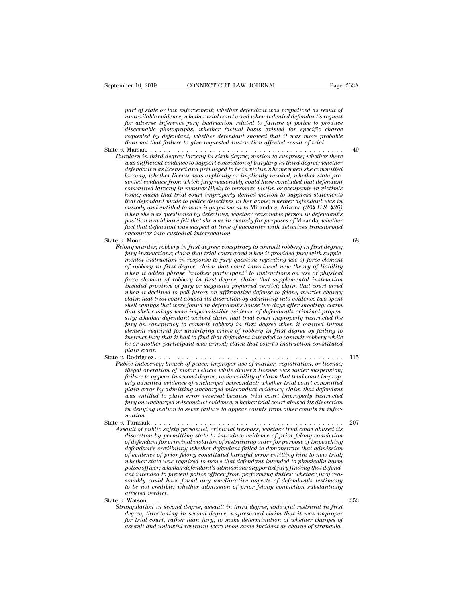*part of state or law enforcement; whether defendant was prejudiced as result of*<br>*part of state or law enforcement; whether defendant was prejudiced as result of*<br>*paravailable evidence; whether trial court erred when it* **ber 10, 2019** CONNECTICUT LAW JOURNAL Page 263A<br>
part of state or law enforcement; whether defendant was prejudiced as result of<br>
unavailable evidence; whether trial court erred when it denied defendant's request<br>
for adv **for a for a for a for a for a for a for a for a for a for a form of state or law enforcement; whether defendant was prejudiced as result of unavailable evidence; whether trial court erred when it denied defendant's reques discreparity: CONNECTICUT LAW JOURNAL Page 263A**<br> **part of state or law enforcement; whether defendant was prejudiced as result of**<br> **unavailable evidence; whether trial court erred when it denied defendant's request**<br>
fo part of state or law enforcement; whether defendant was prejudiced as result of unavailable evidence; whether trial court erred when it denied defendant's request for adverse inference jury instruction related to failure o *than not to f state or law enforcement; whether defendant was prejudiced as result of unavailable evidence; whether trial court erred when it denied defendant's requested for adverse inference jury instruction related to* part of state or law enforcement; whether defendant was prejudiced as result of<br>unavailable evidence; whether trial court erred when it denied defendant's request<br>for adverse inference jury instruction related to failure o part of state or aw enforcement; whether degenaant was prejudice as result of<br>unavailable evidence; whether trial court erred when it denied degredant's request<br>for adverse inference jury instruction related to failure of *whavaluable evidence; whether trial court erred when it denied degradant s request* of adverse informer direct conviction related to failure of police to produce discernable photographs; whether factual basis existed for

- *discernable photographs; whether factual basis existed for specific charge requested by defendant; whether defendant showed hat it was more probable than not that failure to give requested instruction affected result of t larceny; whether license was explicitly or implicitly revoked; whether state presented evidence from which jury reasonably could have concluded that defendant committed larceny in sixtually in the committed larceny in sixth degree; larceny in sixth degree; obtion to suppress; whether there*  $y$  was sufficient evidence to support conviction of burglary in third degree; whether d *home; claim that trial court improperly denied motion to suppress statements that degree; larceny in sixth degree; motion to suppress; whether there* was sufficient evidence to support conviction of burglary in third degree; whether the defendant to as licensed and privileged to be in victim's hom *custody and entitled to support conviction of burglary in third degree; whether*<br>defendant was licensed and privileged to be in victim's home when she committed<br>larceny; whether license was explicitly or implicitly revoke *defendant was incensed and privileged to be in victim's home when she committed*<br>larceny; whether license was explicitly or implicitly revoked; whether state pre-<br>sented evidence from which jury reasonably could have conc *position whether license was explicitly or implicitly revoked; whether state presented evidence from which jury reasonably could have concluded that defendant committed larceny in manner likely to terrorize victim or occu factuate evidence from which jury reasonably could have concluded that defendant*<br> *factuaritied larceny in manner likely to terrorize victim or occupants in victim's*<br> *home; claim that trial court improperly denied moti home; claim that trial court improperly denied motion to suppress statements that defendant made to police detectives in her home; whether defendant was in custody and entitled to warnings pursuant to Miranda v. Arizona (* nome; cuarm mat truat court improperty denied motion to suppress sutements<br>that defendant made to police detectives in her horme; whether defendant was in<br>custody and entitled to warnings pursuant to Miranda v. Arizona (38 *Felony murder; robbery in first degree; conspiracy to commit robbery in first degree; jury instructions; claim that trial court erred when she was question would have felt that she was in custody for purposes of Niranda's supple-position would have felt that she was in custody for purposes of Niranda; whet mental instruction in the was questioned by detectives; whether peasiton would have felt that defendant was suspect at time of encounter with detectives transformed fact that defendant was suspect at time of encounter wit position would have jeu indi she was in custody jor purposes of Miranda, whether*<br>fact that defendant was suspect at time of encounter with detectives transformed<br>encounter into custodial interroduced intervalsed new theo *when it added phrase ''another participant'' to instructions on use of physical for a more elemental interrogation.*<br> *force energy in first degree; conspiracy to commit robbery in first degree;*<br> *fory instructions; claim that trial court erred when it provided jury with supplemental instruction in*  $\begin{array}{l} \text{Moon} \quad \ldots \quad \ldots \quad \text{68} \\ \text{Any unitarity;} \quad \text{robery in first degree;} \quad \text{conspiracy to commit robberg in first degree;} \\ \text{inry in first direction in the total court erred when it provided jury with supplied in structural instruction in response to jury question regarding use of force element of robberg in first degree; claim that court introduces new theory of liability when it added phrase "another participant" to instructions on use of physical force element of robberg in first degree; claim that supplemental instruction invaded province of jury or suggested preferred verdict; claim that court erred when it declined to poll jurors on a ffirmatirein and its discrimination into evidence those, and it is a is certain but and mitina into evidence two spent. \end{array}$
- *why murder; robbery in first degree; conspiracy to commit robbery in first degree; inry instructions; claim that trial court erred when it provided jury with supplement mental instruction in response to jury question rega flury instructions; claim that trial court erred when it provided jury with supplemental instruction in response to jury question regarding use of force element of robbery in first degree; claim that court intoduced new t* mental instruction in response to jury question regarding use of force element<br>of robbery in first degree; claim that court introduced new theory of liability<br>when it added phrase "another participant" to instructions on u of robbery in first degree; claim that court introduced new theory of liability<br>when it added phrase "another participant" to instructions on use of physical<br>force element of robbery in first degree; claim that superplemen *sity when it added phrase "another participant" to instructions on use of physical* force element of robbery in first degree; claim that supplemental instruction invaded province of jury or suggested preferred verdictive *force element of robbery in first degree; claim that supplemental instruction*<br>*invaded province of jury or suggested preferred verdict; claim that court erred*<br>*inchin that trial court abused its discretion by admitting element in declined to poll jurors on affirmative defense to felony murder charge;*<br>
when it declined to poll jurors on affirmative defense to felony murder charge;<br>
claim that trial court abused its discretion by admitti when it declined to poll jurors on affirmative defense to felony murder charge;<br>claim that trial court abused its discretion by admitting into evidence two spent<br>shell casings that were found in defendant's house two days *claim that trial court abused its discretion by admitting into evidence two spent*<br>shell casings that were found in defendant's house two days after shooting; claim<br>that shell casings wee impermissible evidence of defenda *shell casings that were found in defendant's house two days after shooting; claim*<br>*that shell casings were impermissible evidence of defendant's criminal propensity; whether defendant waived claim that trial court improp* In the costage of the process of the costage of the costage of the stig, whether definite and waved claim that trial court improperly instructed the jury on conspiracy to commit robbery in first degree when it omitted inte *Pury on conspiracy to commit robbery in first degree when it omitted intent*<br>*Pury on conspiracy to commit robbery in first degree when it omitted intent*<br>*element required for underlying crime of robbery in first degree*
- *fury on conspiracy to commit roboery in first aegree when it omitted intent* for *illegration celement required for underlying crime of robbery in first degree by failing to instruct jury that it had to find that defendan failure to appear in that it had to find that defendant intended to commit robbery while* instruct jury that it had to find that defendant intended to commit robbery while the or another participant was armed; claim that *erly admitted evidence of uncharged misconduct; whether trial court committed plain error*<br> *plain error.*<br> **Rodriguez .**<br> **Rodriguez .**<br> **Rodriguez .**<br> **Plain and the second of peace; improper use of marker, registration, or license;**<br> *illegal operation of motor vehicle while driver's license was was entitled to plain error reversal because trial court improperly instructed Hodriguez ....* II5<br> *lic indecency, breach of peace; improper use of marker, registration, or license;*<br> *illegal operation of motor vehicle while driver's license was under suspension;*<br> *failure to appear in second deg illegal operation of motor vehicle while driver's license was under suspension;*<br>*failure to appear in second degree; reviewability of claim that trial court improp-*<br>*erly admitted evidence of uncharged misconduct; wheth mation.* Future to appear in second acyrec; reviewability of calim in trial court improperty<br>erly admitted evidence of uncharged misconduct evidence; claim that defendant<br>plain error by admitting uncharged misconduct evidence; clai *Assault of public safety presonalistic simulate trial court committed*<br> *Assault of public safety probability abused misconduct evidence; claim that defendant<br>
vas entitled to plain error reversal because trial court impr* plain error by damitting uncharged misconduct evidence; carm that defendant<br>was entitled to plain error reversal because trial court improperly instructed<br>in denying motion to sever failure to appear counts from other coun
- *of defendant is criminal violation of restraining in the purpose of purpose in denying on uncharged misconduct evidence; whether trial court abused its discretion in denying motion to sever failure to appear counts from o defendant's credibility; whether defendant failed to demonstrate that admission of evidence of prior felony constituted harmful error entitling him to new trial; whether state was required to prove thermal trespass; whether trial court abused its* and to fublic safety personnel; criminal trespass; whether trial court abused its discretion by permitting state to introduce evidence Assault of public safety personnel; criminal trespass; whether trial court abused its<br>discretion by permitting state to introduce evidence of prior felony conviction<br>of defendant for criminal violation of restraining order discretion by permitting state to introduce evidence of prior felony conviction of defendant for criminal violation of restraining order for purpose of impeaching defendant's credibility; whether defendant failed to demons discretion by permitting state to introduce evidence of prior jelony conviction of defendant for criminal violation of restraining order for purpose of impeaching defendant's credibility; whether defendant failed to demons of defendant for criminal violation of restraining order for purpose of impeaching<br>defendant's credibility; whether defendant failed to demonstrate that admission<br>of evidence of prior felony constituted harmful error entit *affection of prior felony constituted harmful error entitling him to new trial;*<br>whether state was required to prove that defendant intended to physically harm<br>police officer; whether defendant's admissions supported jury *State a* provision is equalized which the main of ending that we create that the police officer; whether defendant's admissions supported jury finding that defendent intended to prevent police officer from performing duti *Strangulation in second degree; assault in third degree; whether defendant intended to prevent police officer from performing duties; whether jary reasonably could have found any ameliorative aspects of defendant's testim* powe officer; whether algehaant s'aamissions supported jury finant intended to prevent police officer from performing duties; whether jury reasonably could have found any ameliorative aspects of defendant's testimony to be
- *for trial court points of trial court points in the formally could have found any ameliorative aspects of defendant's testimony*<br>to be not credible; whether admission of prior felony conviction substantially<br>affected verd *assaulty could nave jound any ametiorative aspects of degendant s testimony affected verdicle; whether admission of prior felony conviction substantially affected verdict.*<br>Watson  $\ldots \ldots \ldots \ldots \ldots \ldots \ldots \ldots \ldots \ldots \ldots \ldots \ldots \$